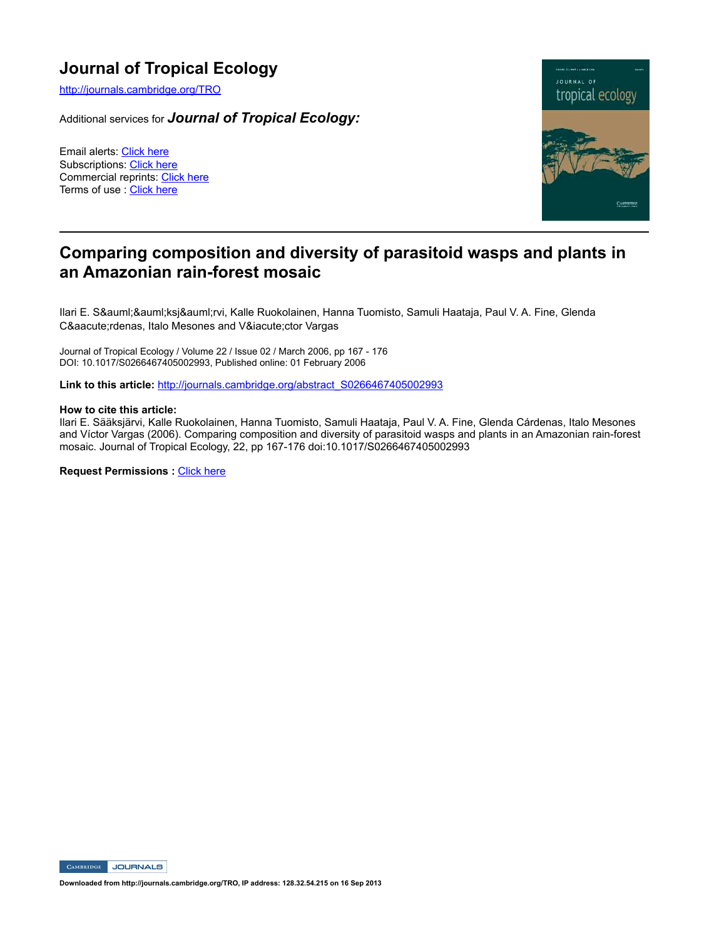# **Journal of Tropical Ecology**

http://journals.cambridge.org/TRO

Additional services for *Journal of Tropical Ecology:*

Email alerts: Click here Subscriptions: Click here Commercial reprints: Click here Terms of use : Click here



# **Comparing composition and diversity of parasitoid wasps and plants in an Amazonian rain-forest mosaic**

Ilari E. Sä ä ksjä rvi, Kalle Ruokolainen, Hanna Tuomisto, Samuli Haataja, Paul V. A. Fine, Glenda Cárdenas, Italo Mesones and Víctor Vargas

Journal of Tropical Ecology / Volume 22 / Issue 02 / March 2006, pp 167 - 176 DOI: 10.1017/S0266467405002993, Published online: 01 February 2006

Link to this article: http://journals.cambridge.org/abstract\_S0266467405002993

#### **How to cite this article:**

Ilari E. Sääksjärvi, Kalle Ruokolainen, Hanna Tuomisto, Samuli Haataja, Paul V. A. Fine, Glenda Cárdenas, Italo Mesones and Víctor Vargas (2006). Comparing composition and diversity of parasitoid wasps and plants in an Amazonian rain-forest mosaic. Journal of Tropical Ecology, 22, pp 167-176 doi:10.1017/S0266467405002993

**Request Permissions : Click here** 

CAMBRIDGE JOURNALS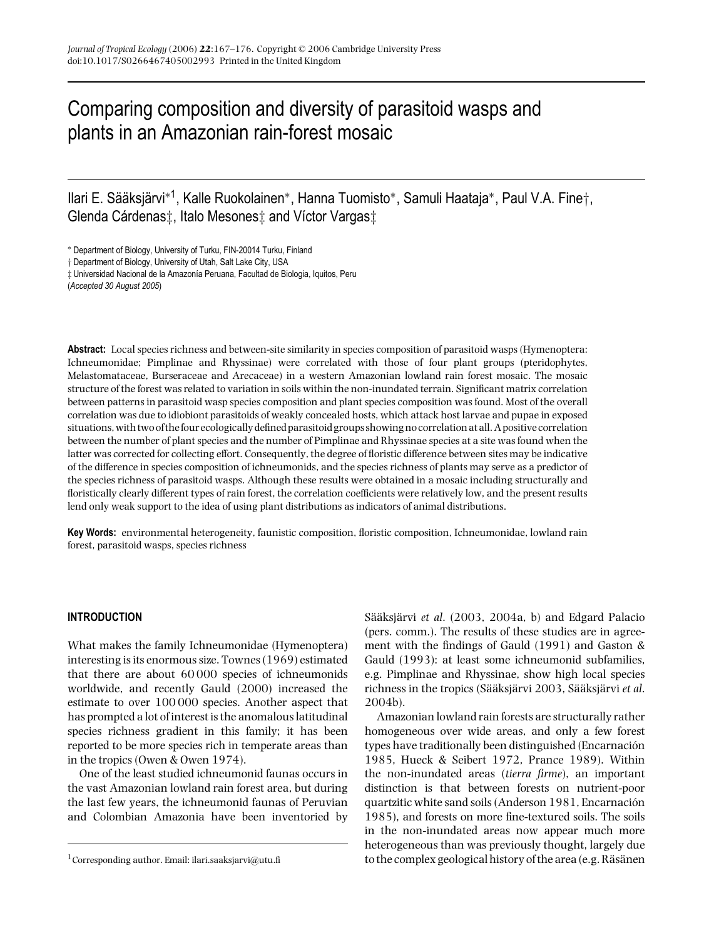# Comparing composition and diversity of parasitoid wasps and plants in an Amazonian rain-forest mosaic

Ilari E. Sääksjärvi<sup>∗1</sup>, Kalle Ruokolainen<sup>∗</sup>, Hanna Tuomisto<sup>∗</sup>, Samuli Haataja<sup>∗</sup>, Paul V.A. Fine†, Glenda Cárdenas<sup>†</sup>, Italo Mesones<sup>†</sup> and Víctor Vargas†

∗ Department of Biology, University of Turku, FIN-20014 Turku, Finland

† Department of Biology, University of Utah, Salt Lake City, USA

 $\ddagger$  Universidad Nacional de la Amazonía Peruana, Facultad de Biologia, Iquitos, Peru

(*Accepted 30 August 2005*)

**Abstract:** Local species richness and between-site similarity in species composition of parasitoid wasps (Hymenoptera: Ichneumonidae; Pimplinae and Rhyssinae) were correlated with those of four plant groups (pteridophytes, Melastomataceae, Burseraceae and Arecaceae) in a western Amazonian lowland rain forest mosaic. The mosaic structure of the forest was related to variation in soils within the non-inundated terrain. Significant matrix correlation between patterns in parasitoid wasp species composition and plant species composition was found. Most of the overall correlation was due to idiobiont parasitoids of weakly concealed hosts, which attack host larvae and pupae in exposed situations, with two of the four ecologically defined parasitoid groups showing no correlation at all. A positive correlation between the number of plant species and the number of Pimplinae and Rhyssinae species at a site was found when the latter was corrected for collecting effort. Consequently, the degree of floristic difference between sites may be indicative of the difference in species composition of ichneumonids, and the species richness of plants may serve as a predictor of the species richness of parasitoid wasps. Although these results were obtained in a mosaic including structurally and floristically clearly different types of rain forest, the correlation coefficients were relatively low, and the present results lend only weak support to the idea of using plant distributions as indicators of animal distributions.

**Key Words:** environmental heterogeneity, faunistic composition, floristic composition, Ichneumonidae, lowland rain forest, parasitoid wasps, species richness

#### **INTRODUCTION**

What makes the family Ichneumonidae (Hymenoptera) interesting is its enormous size. Townes (1969) estimated that there are about 60 000 species of ichneumonids worldwide, and recently Gauld (2000) increased the estimate to over 100 000 species. Another aspect that has prompted a lot of interest is the anomalous latitudinal species richness gradient in this family; it has been reported to be more species rich in temperate areas than in the tropics (Owen & Owen 1974).

One of the least studied ichneumonid faunas occurs in the vast Amazonian lowland rain forest area, but during the last few years, the ichneumonid faunas of Peruvian and Colombian Amazonia have been inventoried by Sääksjärvi et al. (2003, 2004a, b) and Edgard Palacio (pers. comm.). The results of these studies are in agreement with the findings of Gauld (1991) and Gaston & Gauld (1993): at least some ichneumonid subfamilies, e.g. Pimplinae and Rhyssinae, show high local species richness in the tropics (Sääksjärvi 2003, Sääksjärvi et al. 2004b).

Amazonian lowland rain forests are structurally rather homogeneous over wide areas, and only a few forest types have traditionally been distinguished (Encarnacion´ 1985, Hueck & Seibert 1972, Prance 1989). Within the non-inundated areas (*tierra firme*), an important distinction is that between forests on nutrient-poor quartzitic white sand soils (Anderson 1981, Encarnacion´ 1985), and forests on more fine-textured soils. The soils in the non-inundated areas now appear much more heterogeneous than was previously thought, largely due to the complex geological history of the area (e.g. Räsänen

<sup>&</sup>lt;sup>1</sup> Corresponding author. Email: ilari.saaksjarvi@utu.fi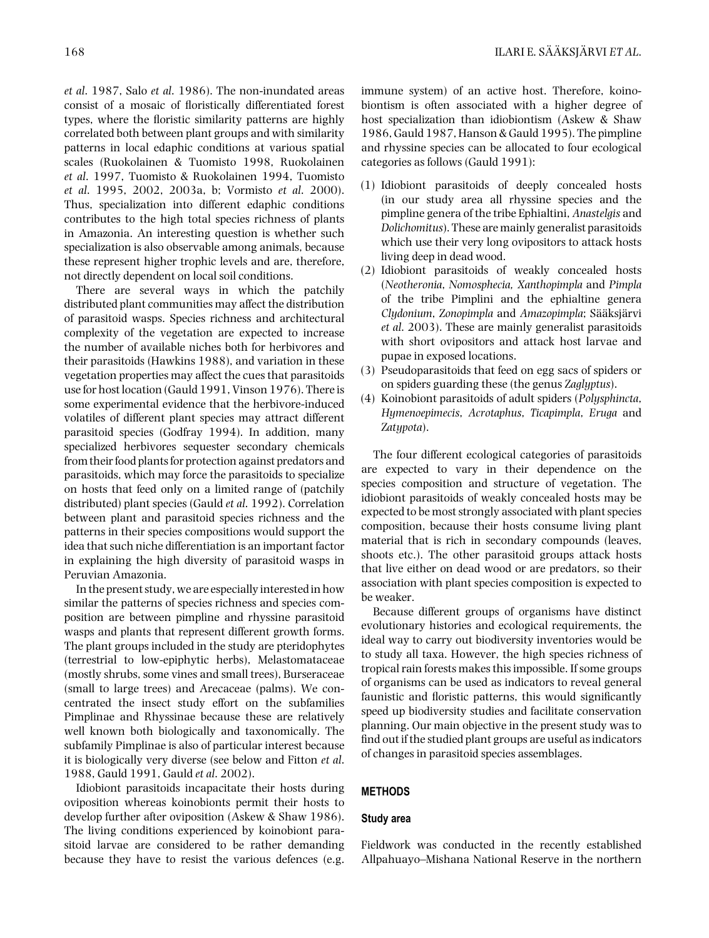*et al*. 1987, Salo *et al*. 1986). The non-inundated areas consist of a mosaic of floristically differentiated forest types, where the floristic similarity patterns are highly correlated both between plant groups and with similarity patterns in local edaphic conditions at various spatial scales (Ruokolainen & Tuomisto 1998, Ruokolainen *et al*. 1997, Tuomisto & Ruokolainen 1994, Tuomisto *et al*. 1995, 2002, 2003a, b; Vormisto *et al*. 2000). Thus, specialization into different edaphic conditions contributes to the high total species richness of plants in Amazonia. An interesting question is whether such specialization is also observable among animals, because these represent higher trophic levels and are, therefore, not directly dependent on local soil conditions.

There are several ways in which the patchily distributed plant communities may affect the distribution of parasitoid wasps. Species richness and architectural complexity of the vegetation are expected to increase the number of available niches both for herbivores and their parasitoids (Hawkins 1988), and variation in these vegetation properties may affect the cues that parasitoids use for host location (Gauld 1991, Vinson 1976). There is some experimental evidence that the herbivore-induced volatiles of different plant species may attract different parasitoid species (Godfray 1994). In addition, many specialized herbivores sequester secondary chemicals from their food plants for protection against predators and parasitoids, which may force the parasitoids to specialize on hosts that feed only on a limited range of (patchily distributed) plant species (Gauld *et al*. 1992). Correlation between plant and parasitoid species richness and the patterns in their species compositions would support the idea that such niche differentiation is an important factor in explaining the high diversity of parasitoid wasps in Peruvian Amazonia.

In the present study, we are especially interested in how similar the patterns of species richness and species composition are between pimpline and rhyssine parasitoid wasps and plants that represent different growth forms. The plant groups included in the study are pteridophytes (terrestrial to low-epiphytic herbs), Melastomataceae (mostly shrubs, some vines and small trees), Burseraceae (small to large trees) and Arecaceae (palms). We concentrated the insect study effort on the subfamilies Pimplinae and Rhyssinae because these are relatively well known both biologically and taxonomically. The subfamily Pimplinae is also of particular interest because it is biologically very diverse (see below and Fitton *et al*. 1988, Gauld 1991, Gauld *et al*. 2002).

Idiobiont parasitoids incapacitate their hosts during oviposition whereas koinobionts permit their hosts to develop further after oviposition (Askew & Shaw 1986). The living conditions experienced by koinobiont parasitoid larvae are considered to be rather demanding because they have to resist the various defences (e.g.

immune system) of an active host. Therefore, koinobiontism is often associated with a higher degree of host specialization than idiobiontism (Askew & Shaw 1986, Gauld 1987, Hanson & Gauld 1995). The pimpline and rhyssine species can be allocated to four ecological categories as follows (Gauld 1991):

- (1) Idiobiont parasitoids of deeply concealed hosts (in our study area all rhyssine species and the pimpline genera of the tribe Ephialtini, *Anastelgis* and *Dolichomitus*). These are mainly generalist parasitoids which use their very long ovipositors to attack hosts living deep in dead wood.
- (2) Idiobiont parasitoids of weakly concealed hosts (*Neotheronia*, *Nomosphecia, Xanthopimpla* and *Pimpla* of the tribe Pimplini and the ephialtine genera *Clydonium, Zonopimpla* and *Amazopimpla*; Sääksjärvi *et al*. 2003). These are mainly generalist parasitoids with short ovipositors and attack host larvae and pupae in exposed locations.
- (3) Pseudoparasitoids that feed on egg sacs of spiders or on spiders guarding these (the genus *Zaglyptus*).
- (4) Koinobiont parasitoids of adult spiders (*Polysphincta*, *Hymenoepimecis*, *Acrotaphus*, *Ticapimpla*, *Eruga* and *Zatypota*).

The four different ecological categories of parasitoids are expected to vary in their dependence on the species composition and structure of vegetation. The idiobiont parasitoids of weakly concealed hosts may be expected to be most strongly associated with plant species composition, because their hosts consume living plant material that is rich in secondary compounds (leaves, shoots etc.). The other parasitoid groups attack hosts that live either on dead wood or are predators, so their association with plant species composition is expected to be weaker.

Because different groups of organisms have distinct evolutionary histories and ecological requirements, the ideal way to carry out biodiversity inventories would be to study all taxa. However, the high species richness of tropical rain forests makes this impossible. If some groups of organisms can be used as indicators to reveal general faunistic and floristic patterns, this would significantly speed up biodiversity studies and facilitate conservation planning. Our main objective in the present study was to find out if the studied plant groups are useful as indicators of changes in parasitoid species assemblages.

## **METHODS**

#### **Study area**

Fieldwork was conducted in the recently established Allpahuayo–Mishana National Reserve in the northern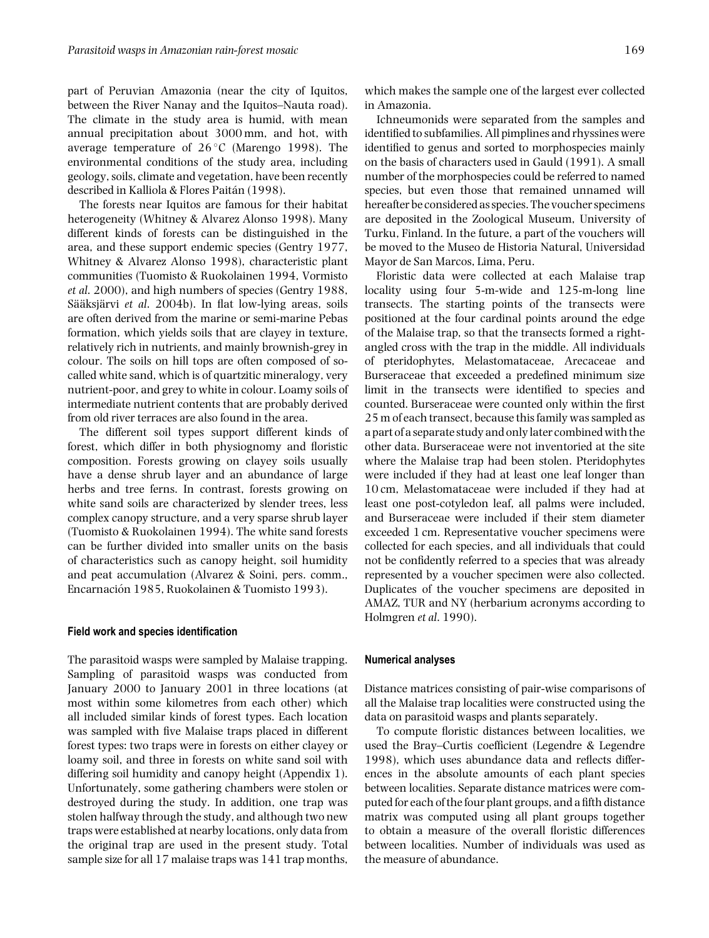part of Peruvian Amazonia (near the city of Iquitos, between the River Nanay and the Iquitos–Nauta road). The climate in the study area is humid, with mean annual precipitation about 3000 mm, and hot, with average temperature of  $26^{\circ}$ C (Marengo 1998). The environmental conditions of the study area, including geology, soils, climate and vegetation, have been recently described in Kalliola & Flores Paitán (1998).

The forests near Iquitos are famous for their habitat heterogeneity (Whitney & Alvarez Alonso 1998). Many different kinds of forests can be distinguished in the area, and these support endemic species (Gentry 1977, Whitney & Alvarez Alonso 1998), characteristic plant communities (Tuomisto & Ruokolainen 1994, Vormisto *et al*. 2000), and high numbers of species (Gentry 1988, Sääksjärvi et al. 2004b). In flat low-lying areas, soils are often derived from the marine or semi-marine Pebas formation, which yields soils that are clayey in texture, relatively rich in nutrients, and mainly brownish-grey in colour. The soils on hill tops are often composed of socalled white sand, which is of quartzitic mineralogy, very nutrient-poor, and grey to white in colour. Loamy soils of intermediate nutrient contents that are probably derived from old river terraces are also found in the area.

The different soil types support different kinds of forest, which differ in both physiognomy and floristic composition. Forests growing on clayey soils usually have a dense shrub layer and an abundance of large herbs and tree ferns. In contrast, forests growing on white sand soils are characterized by slender trees, less complex canopy structure, and a very sparse shrub layer (Tuomisto & Ruokolainen 1994). The white sand forests can be further divided into smaller units on the basis of characteristics such as canopy height, soil humidity and peat accumulation (Alvarez & Soini, pers. comm., Encarnación 1985, Ruokolainen & Tuomisto 1993).

#### **Field work and species identification**

The parasitoid wasps were sampled by Malaise trapping. Sampling of parasitoid wasps was conducted from January 2000 to January 2001 in three locations (at most within some kilometres from each other) which all included similar kinds of forest types. Each location was sampled with five Malaise traps placed in different forest types: two traps were in forests on either clayey or loamy soil, and three in forests on white sand soil with differing soil humidity and canopy height (Appendix 1). Unfortunately, some gathering chambers were stolen or destroyed during the study. In addition, one trap was stolen halfway through the study, and although two new traps were established at nearby locations, only data from the original trap are used in the present study. Total sample size for all 17 malaise traps was 141 trap months,

which makes the sample one of the largest ever collected in Amazonia.

Ichneumonids were separated from the samples and identified to subfamilies. All pimplines and rhyssines were identified to genus and sorted to morphospecies mainly on the basis of characters used in Gauld (1991). A small number of the morphospecies could be referred to named species, but even those that remained unnamed will hereafter be considered as species. The voucher specimens are deposited in the Zoological Museum, University of Turku, Finland. In the future, a part of the vouchers will be moved to the Museo de Historia Natural, Universidad Mayor de San Marcos, Lima, Peru.

Floristic data were collected at each Malaise trap locality using four 5-m-wide and 125-m-long line transects. The starting points of the transects were positioned at the four cardinal points around the edge of the Malaise trap, so that the transects formed a rightangled cross with the trap in the middle. All individuals of pteridophytes, Melastomataceae, Arecaceae and Burseraceae that exceeded a predefined minimum size limit in the transects were identified to species and counted. Burseraceae were counted only within the first 25 m of each transect, because this family was sampled as a part of a separate study and only later combined with the other data. Burseraceae were not inventoried at the site where the Malaise trap had been stolen. Pteridophytes were included if they had at least one leaf longer than 10 cm, Melastomataceae were included if they had at least one post-cotyledon leaf, all palms were included, and Burseraceae were included if their stem diameter exceeded 1 cm. Representative voucher specimens were collected for each species, and all individuals that could not be confidently referred to a species that was already represented by a voucher specimen were also collected. Duplicates of the voucher specimens are deposited in AMAZ, TUR and NY (herbarium acronyms according to Holmgren *et al*. 1990).

#### **Numerical analyses**

Distance matrices consisting of pair-wise comparisons of all the Malaise trap localities were constructed using the data on parasitoid wasps and plants separately.

To compute floristic distances between localities, we used the Bray–Curtis coefficient (Legendre & Legendre 1998), which uses abundance data and reflects differences in the absolute amounts of each plant species between localities. Separate distance matrices were computed for each of the four plant groups, and a fifth distance matrix was computed using all plant groups together to obtain a measure of the overall floristic differences between localities. Number of individuals was used as the measure of abundance.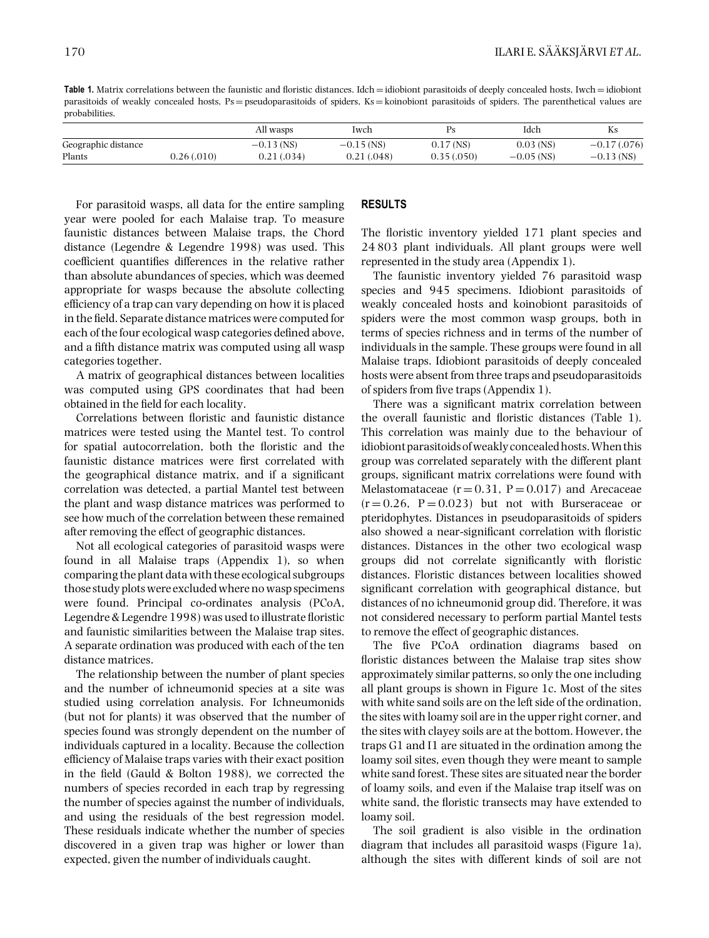Table 1. Matrix correlations between the faunistic and floristic distances. Idch = idiobiont parasitoids of deeply concealed hosts, Iwch = idiobiont parasitoids of weakly concealed hosts,  $Ps =$  pseudoparasitoids of spiders,  $Ks =$  koinobiont parasitoids of spiders. The parenthetical values are probabilities.

|                     |             | All wasps    | Iwch         | Рs          | Idch         |                |
|---------------------|-------------|--------------|--------------|-------------|--------------|----------------|
| Geographic distance |             | $-0.13$ (NS) | $-0.15$ (NS) | $0.17$ (NS) | $0.03$ (NS)  | $-0.17(0.076)$ |
| Plants              | 0.26(0.010) | 0.21 (.034)  | 0.21 (.048)  | 0.35(.050)  | $-0.05$ (NS) | $-0.13$ (NS)   |

For parasitoid wasps, all data for the entire sampling year were pooled for each Malaise trap. To measure faunistic distances between Malaise traps, the Chord distance (Legendre & Legendre 1998) was used. This coefficient quantifies differences in the relative rather than absolute abundances of species, which was deemed appropriate for wasps because the absolute collecting efficiency of a trap can vary depending on how it is placed in the field. Separate distance matrices were computed for each of the four ecological wasp categories defined above, and a fifth distance matrix was computed using all wasp categories together.

A matrix of geographical distances between localities was computed using GPS coordinates that had been obtained in the field for each locality.

Correlations between floristic and faunistic distance matrices were tested using the Mantel test. To control for spatial autocorrelation, both the floristic and the faunistic distance matrices were first correlated with the geographical distance matrix, and if a significant correlation was detected, a partial Mantel test between the plant and wasp distance matrices was performed to see how much of the correlation between these remained after removing the effect of geographic distances.

Not all ecological categories of parasitoid wasps were found in all Malaise traps (Appendix 1), so when comparing the plant data with these ecological subgroups those study plots were excluded where no wasp specimens were found. Principal co-ordinates analysis (PCoA, Legendre & Legendre 1998) was used to illustrate floristic and faunistic similarities between the Malaise trap sites. A separate ordination was produced with each of the ten distance matrices.

The relationship between the number of plant species and the number of ichneumonid species at a site was studied using correlation analysis. For Ichneumonids (but not for plants) it was observed that the number of species found was strongly dependent on the number of individuals captured in a locality. Because the collection efficiency of Malaise traps varies with their exact position in the field (Gauld & Bolton 1988), we corrected the numbers of species recorded in each trap by regressing the number of species against the number of individuals, and using the residuals of the best regression model. These residuals indicate whether the number of species discovered in a given trap was higher or lower than expected, given the number of individuals caught.

#### **RESULTS**

The floristic inventory yielded 171 plant species and 24 803 plant individuals. All plant groups were well represented in the study area (Appendix 1).

The faunistic inventory yielded 76 parasitoid wasp species and 945 specimens. Idiobiont parasitoids of weakly concealed hosts and koinobiont parasitoids of spiders were the most common wasp groups, both in terms of species richness and in terms of the number of individuals in the sample. These groups were found in all Malaise traps. Idiobiont parasitoids of deeply concealed hosts were absent from three traps and pseudoparasitoids of spiders from five traps (Appendix 1).

There was a significant matrix correlation between the overall faunistic and floristic distances (Table 1). This correlation was mainly due to the behaviour of idiobiont parasitoids of weakly concealed hosts. When this group was correlated separately with the different plant groups, significant matrix correlations were found with Melastomataceae  $(r = 0.31, P = 0.017)$  and Arecaceae  $(r=0.26, P=0.023)$  but not with Burseraceae or pteridophytes. Distances in pseudoparasitoids of spiders also showed a near-significant correlation with floristic distances. Distances in the other two ecological wasp groups did not correlate significantly with floristic distances. Floristic distances between localities showed significant correlation with geographical distance, but distances of no ichneumonid group did. Therefore, it was not considered necessary to perform partial Mantel tests to remove the effect of geographic distances.

The five PCoA ordination diagrams based on floristic distances between the Malaise trap sites show approximately similar patterns, so only the one including all plant groups is shown in Figure 1c. Most of the sites with white sand soils are on the left side of the ordination, the sites with loamy soil are in the upper right corner, and the sites with clayey soils are at the bottom. However, the traps G1 and I1 are situated in the ordination among the loamy soil sites, even though they were meant to sample white sand forest. These sites are situated near the border of loamy soils, and even if the Malaise trap itself was on white sand, the floristic transects may have extended to loamy soil.

The soil gradient is also visible in the ordination diagram that includes all parasitoid wasps (Figure 1a), although the sites with different kinds of soil are not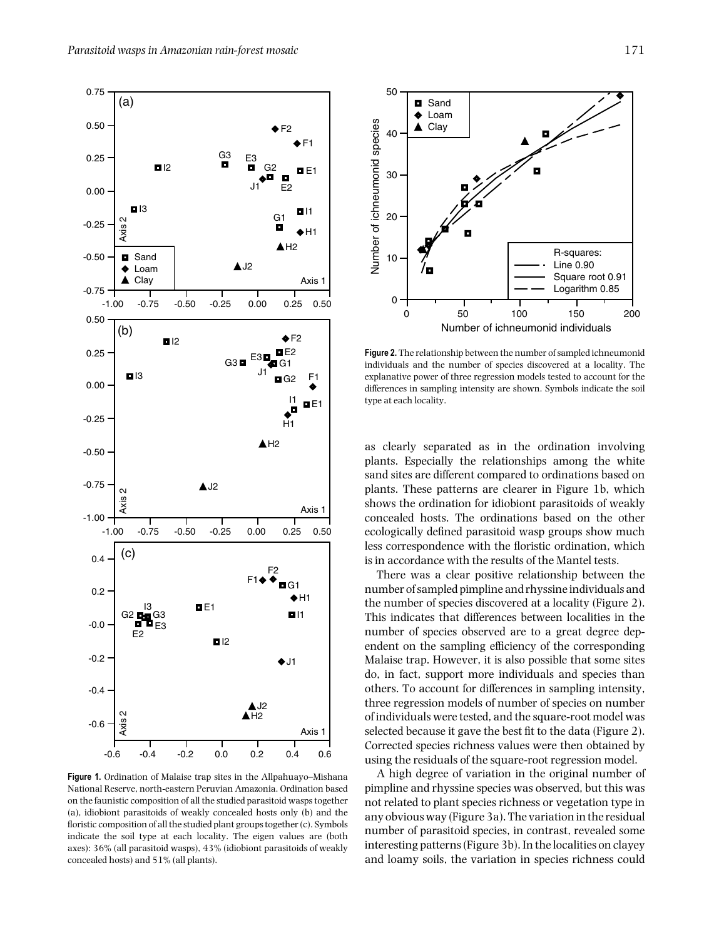

**Figure 1.** Ordination of Malaise trap sites in the Allpahuayo–Mishana National Reserve, north-eastern Peruvian Amazonia. Ordination based on the faunistic composition of all the studied parasitoid wasps together (a), idiobiont parasitoids of weakly concealed hosts only (b) and the floristic composition of all the studied plant groups together (c). Symbols indicate the soil type at each locality. The eigen values are (both axes): 36% (all parasitoid wasps), 43% (idiobiont parasitoids of weakly concealed hosts) and 51% (all plants).



**Figure 2.** The relationship between the number of sampled ichneumonid individuals and the number of species discovered at a locality. The explanative power of three regression models tested to account for the differences in sampling intensity are shown. Symbols indicate the soil type at each locality.

as clearly separated as in the ordination involving plants. Especially the relationships among the white sand sites are different compared to ordinations based on plants. These patterns are clearer in Figure 1b, which shows the ordination for idiobiont parasitoids of weakly concealed hosts. The ordinations based on the other ecologically defined parasitoid wasp groups show much less correspondence with the floristic ordination, which is in accordance with the results of the Mantel tests.

There was a clear positive relationship between the number of sampled pimpline and rhyssine individuals and the number of species discovered at a locality (Figure 2). This indicates that differences between localities in the number of species observed are to a great degree dependent on the sampling efficiency of the corresponding Malaise trap. However, it is also possible that some sites do, in fact, support more individuals and species than others. To account for differences in sampling intensity, three regression models of number of species on number of individuals were tested, and the square-root model was selected because it gave the best fit to the data (Figure 2). Corrected species richness values were then obtained by using the residuals of the square-root regression model.

A high degree of variation in the original number of pimpline and rhyssine species was observed, but this was not related to plant species richness or vegetation type in any obvious way (Figure 3a). The variation in the residual number of parasitoid species, in contrast, revealed some interesting patterns (Figure 3b). In the localities on clayey and loamy soils, the variation in species richness could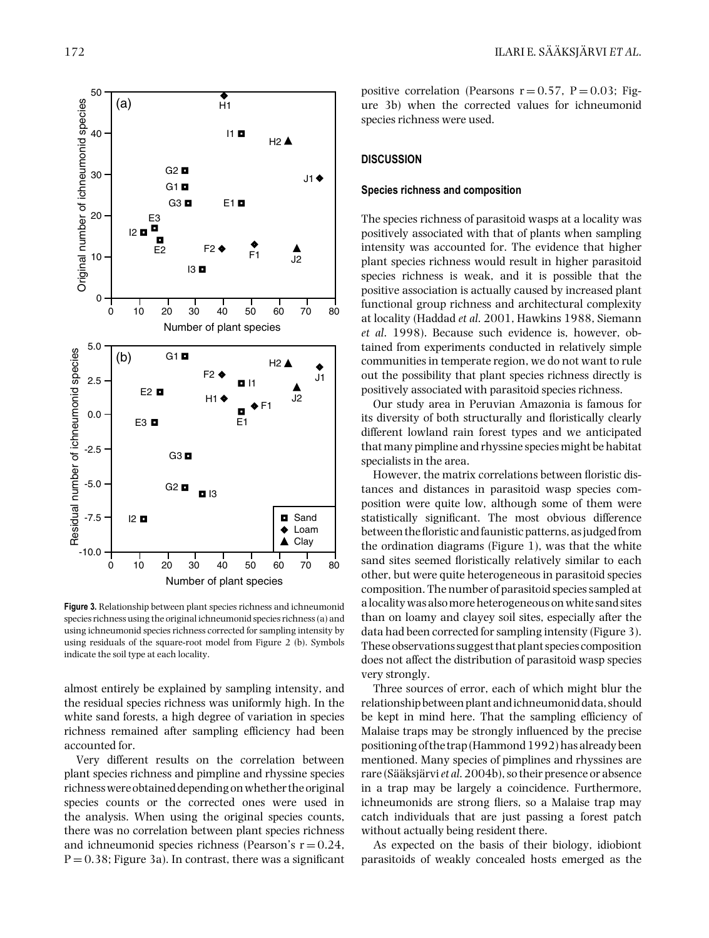

**Figure 3.** Relationship between plant species richness and ichneumonid species richness using the original ichneumonid species richness (a) and using ichneumonid species richness corrected for sampling intensity by using residuals of the square-root model from Figure 2 (b). Symbols indicate the soil type at each locality.

almost entirely be explained by sampling intensity, and the residual species richness was uniformly high. In the white sand forests, a high degree of variation in species richness remained after sampling efficiency had been accounted for.

Very different results on the correlation between plant species richness and pimpline and rhyssine species richnesswere obtained depending onwhether the original species counts or the corrected ones were used in the analysis. When using the original species counts, there was no correlation between plant species richness and ichneumonid species richness (Pearson's  $r = 0.24$ ,  $P = 0.38$ ; Figure 3a). In contrast, there was a significant

positive correlation (Pearsons  $r = 0.57$ ,  $P = 0.03$ ; Figure 3b) when the corrected values for ichneumonid species richness were used.

## **DISCUSSION**

#### **Species richness and composition**

The species richness of parasitoid wasps at a locality was positively associated with that of plants when sampling intensity was accounted for. The evidence that higher plant species richness would result in higher parasitoid species richness is weak, and it is possible that the positive association is actually caused by increased plant functional group richness and architectural complexity at locality (Haddad *et al*. 2001, Hawkins 1988, Siemann *et al*. 1998). Because such evidence is, however, obtained from experiments conducted in relatively simple communities in temperate region, we do not want to rule out the possibility that plant species richness directly is positively associated with parasitoid species richness.

Our study area in Peruvian Amazonia is famous for its diversity of both structurally and floristically clearly different lowland rain forest types and we anticipated that many pimpline and rhyssine species might be habitat specialists in the area.

However, the matrix correlations between floristic distances and distances in parasitoid wasp species composition were quite low, although some of them were statistically significant. The most obvious difference between the floristic and faunistic patterns, as judged from the ordination diagrams (Figure 1), was that the white sand sites seemed floristically relatively similar to each other, but were quite heterogeneous in parasitoid species composition. The number of parasitoid species sampled at alocalitywas alsomore heterogeneous onwhite sand sites than on loamy and clayey soil sites, especially after the data had been corrected for sampling intensity (Figure 3). These observations suggest that plant species composition does not affect the distribution of parasitoid wasp species very strongly.

Three sources of error, each of which might blur the relationship between plant andichneumonid data, should be kept in mind here. That the sampling efficiency of Malaise traps may be strongly influenced by the precise positioning of the trap (Hammond 1992) has already been mentioned. Many species of pimplines and rhyssines are rare (Sääksjärvi *et al.* 2004b), so their presence or absence in a trap may be largely a coincidence. Furthermore, ichneumonids are strong fliers, so a Malaise trap may catch individuals that are just passing a forest patch without actually being resident there.

As expected on the basis of their biology, idiobiont parasitoids of weakly concealed hosts emerged as the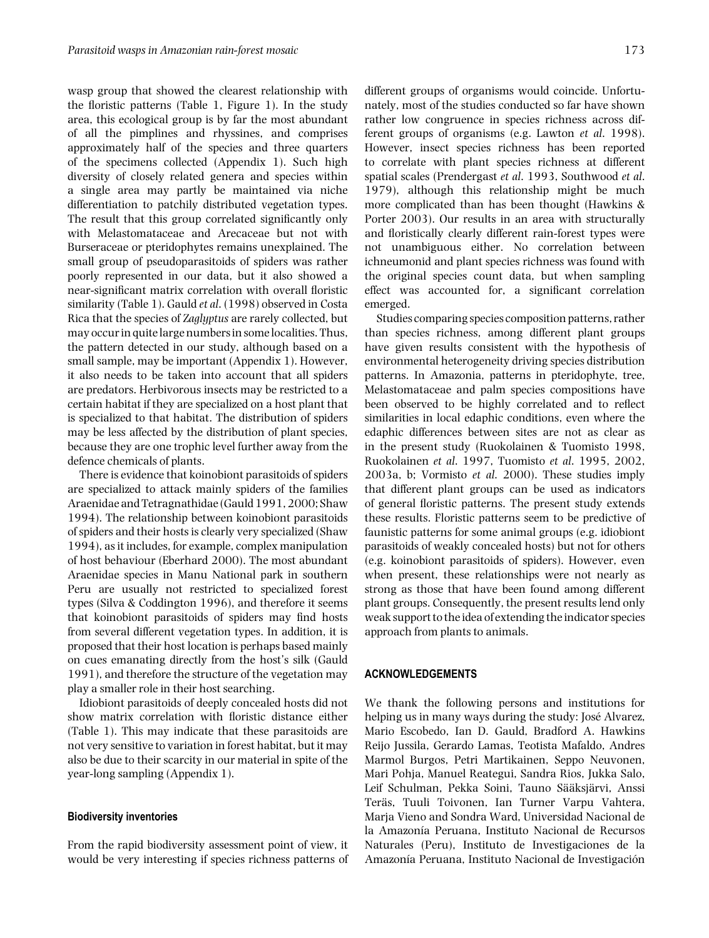wasp group that showed the clearest relationship with the floristic patterns (Table 1, Figure 1). In the study area, this ecological group is by far the most abundant of all the pimplines and rhyssines, and comprises approximately half of the species and three quarters of the specimens collected (Appendix 1). Such high diversity of closely related genera and species within a single area may partly be maintained via niche differentiation to patchily distributed vegetation types. The result that this group correlated significantly only with Melastomataceae and Arecaceae but not with Burseraceae or pteridophytes remains unexplained. The small group of pseudoparasitoids of spiders was rather poorly represented in our data, but it also showed a near-significant matrix correlation with overall floristic similarity (Table 1). Gauld *et al*. (1998) observed in Costa Rica that the species of *Zaglyptus* are rarely collected, but may occur in quite large numbers in some localities. Thus, the pattern detected in our study, although based on a small sample, may be important (Appendix 1). However, it also needs to be taken into account that all spiders are predators. Herbivorous insects may be restricted to a certain habitat if they are specialized on a host plant that is specialized to that habitat. The distribution of spiders may be less affected by the distribution of plant species, because they are one trophic level further away from the defence chemicals of plants.

There is evidence that koinobiont parasitoids of spiders are specialized to attack mainly spiders of the families Araenidae and Tetragnathidae (Gauld 1991, 2000; Shaw 1994). The relationship between koinobiont parasitoids of spiders and their hosts is clearly very specialized (Shaw 1994), as it includes, for example, complex manipulation of host behaviour (Eberhard 2000). The most abundant Araenidae species in Manu National park in southern Peru are usually not restricted to specialized forest types (Silva & Coddington 1996), and therefore it seems that koinobiont parasitoids of spiders may find hosts from several different vegetation types. In addition, it is proposed that their host location is perhaps based mainly on cues emanating directly from the host's silk (Gauld 1991), and therefore the structure of the vegetation may play a smaller role in their host searching.

Idiobiont parasitoids of deeply concealed hosts did not show matrix correlation with floristic distance either (Table 1). This may indicate that these parasitoids are not very sensitive to variation in forest habitat, but it may also be due to their scarcity in our material in spite of the year-long sampling (Appendix 1).

#### **Biodiversity inventories**

From the rapid biodiversity assessment point of view, it would be very interesting if species richness patterns of different groups of organisms would coincide. Unfortunately, most of the studies conducted so far have shown rather low congruence in species richness across different groups of organisms (e.g. Lawton *et al*. 1998). However, insect species richness has been reported to correlate with plant species richness at different spatial scales (Prendergast *et al*. 1993, Southwood *et al*. 1979), although this relationship might be much more complicated than has been thought (Hawkins & Porter 2003). Our results in an area with structurally and floristically clearly different rain-forest types were not unambiguous either. No correlation between

ichneumonid and plant species richness was found with the original species count data, but when sampling effect was accounted for, a significant correlation

emerged. Studies comparing species composition patterns, rather than species richness, among different plant groups have given results consistent with the hypothesis of environmental heterogeneity driving species distribution patterns. In Amazonia, patterns in pteridophyte, tree, Melastomataceae and palm species compositions have been observed to be highly correlated and to reflect similarities in local edaphic conditions, even where the edaphic differences between sites are not as clear as in the present study (Ruokolainen & Tuomisto 1998, Ruokolainen *et al*. 1997, Tuomisto *et al*. 1995, 2002, 2003a, b; Vormisto *et al*. 2000). These studies imply that different plant groups can be used as indicators of general floristic patterns. The present study extends these results. Floristic patterns seem to be predictive of faunistic patterns for some animal groups (e.g. idiobiont parasitoids of weakly concealed hosts) but not for others (e.g. koinobiont parasitoids of spiders). However, even when present, these relationships were not nearly as strong as those that have been found among different plant groups. Consequently, the present results lend only weak support to the idea of extending the indicator species approach from plants to animals.

#### **ACKNOWLEDGEMENTS**

We thank the following persons and institutions for helping us in many ways during the study: José Alvarez, Mario Escobedo, Ian D. Gauld, Bradford A. Hawkins Reijo Jussila, Gerardo Lamas, Teotista Mafaldo, Andres Marmol Burgos, Petri Martikainen, Seppo Neuvonen, Mari Pohja, Manuel Reategui, Sandra Rios, Jukka Salo, Leif Schulman, Pekka Soini, Tauno Sääksjärvi, Anssi Teräs, Tuuli Toivonen, Ian Turner Varpu Vahtera, Marja Vieno and Sondra Ward, Universidad Nacional de la Amazonía Peruana, Instituto Nacional de Recursos Naturales (Peru), Instituto de Investigaciones de la Amazonía Peruana, Instituto Nacional de Investigación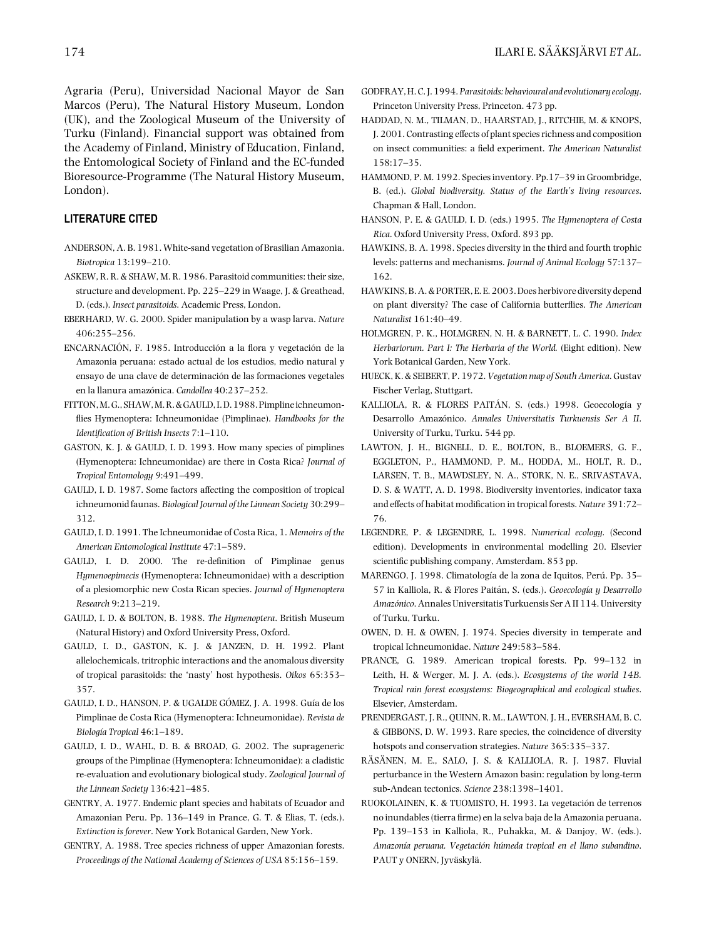Agraria (Peru), Universidad Nacional Mayor de San Marcos (Peru), The Natural History Museum, London (UK), and the Zoological Museum of the University of Turku (Finland). Financial support was obtained from the Academy of Finland, Ministry of Education, Finland, the Entomological Society of Finland and the EC-funded Bioresource-Programme (The Natural History Museum, London).

## **LITERATURE CITED**

- ANDERSON, A. B. 1981. White-sand vegetation of Brasilian Amazonia. *Biotropica* 13:199–210.
- ASKEW, R. R. & SHAW, M. R. 1986. Parasitoid communities: their size, structure and development. Pp. 225–229 in Waage, J. & Greathead, D. (eds.). *Insect parasitoids*. Academic Press, London.
- EBERHARD, W. G. 2000. Spider manipulation by a wasp larva. *Nature* 406:255–256.
- ENCARNACIÓN, F. 1985. Introducción a la flora y vegetación de la Amazonia peruana: estado actual de los estudios, medio natural y ensayo de una clave de determinación de las formaciones vegetales en la llanura amazónica. Candollea 40:237-252.
- FITTON,M.G., SHAW,M.R.&GAULD, I.D. 1988. Pimplineichneumonflies Hymenoptera: Ichneumonidae (Pimplinae). *Handbooks for the Identification of British Insects* 7:1–110.
- GASTON, K. J. & GAULD, I. D. 1993. How many species of pimplines (Hymenoptera: Ichneumonidae) are there in Costa Rica? *Journal of Tropical Entomology 9*:491–499.
- GAULD, I. D. 1987. Some factors affecting the composition of tropical ichneumonid faunas.*Biological Journal of the Linnean Society* 30:299– 312.
- GAULD, I. D. 1991. The Ichneumonidae of Costa Rica, 1. *Memoirs of the American Entomological Institute* 47:1–589.
- GAULD, I. D. 2000. The re-definition of Pimplinae genus *Hymenoepimecis* (Hymenoptera: Ichneumonidae) with a description of a plesiomorphic new Costa Rican species. *Journal of Hymenoptera Research* 9:213–219.
- GAULD, I. D. & BOLTON, B. 1988. *The Hymenoptera*. British Museum (Natural History) and Oxford University Press, Oxford.
- GAULD, I. D., GASTON, K. J. & JANZEN, D. H. 1992. Plant allelochemicals, tritrophic interactions and the anomalous diversity of tropical parasitoids: the 'nasty' host hypothesis. *Oikos* 65:353– 357.
- GAULD, I. D., HANSON, P. & UGALDE GÓMEZ, J. A. 1998. Guía de los Pimplinae de Costa Rica (Hymenoptera: Ichneumonidae). *Revista de Biolog´ıa Tropical* 46:1–189.
- GAULD, I. D., WAHL, D. B. & BROAD, G. 2002. The suprageneric groups of the Pimplinae (Hymenoptera: Ichneumonidae): a cladistic re-evaluation and evolutionary biological study. *Zoological Journal of the Linnean Society* 136:421–485.
- GENTRY, A. 1977. Endemic plant species and habitats of Ecuador and Amazonian Peru. Pp. 136–149 in Prance, G. T. & Elias, T. (eds.). *Extinction is forever*. New York Botanical Garden, New York.
- GENTRY, A. 1988. Tree species richness of upper Amazonian forests. *Proceedings of the National Academy of Sciences of USA* 85:156–159.
- GODFRAY, H. C. J. 1994.*Parasitoids: behavioural and evolutionary ecology*. Princeton University Press, Princeton. 473 pp.
- HADDAD, N. M., TILMAN, D., HAARSTAD, J., RITCHIE, M. & KNOPS, J. 2001. Contrasting effects of plant species richness and composition on insect communities: a field experiment. *The American Naturalist* 158:17–35.
- HAMMOND, P. M. 1992. Species inventory. Pp.17–39 in Groombridge, B. (ed.). *Global biodiversity. Status of the Earth's living resources*. Chapman & Hall, London.
- HANSON, P. E. & GAULD, I. D. (eds.) 1995. *The Hymenoptera of Costa Rica*. Oxford University Press, Oxford. 893 pp.
- HAWKINS, B. A. 1998. Species diversity in the third and fourth trophic levels: patterns and mechanisms. *Journal of Animal Ecology* 57:137– 162.
- HAWKINS, B. A. & PORTER, E. E. 2003. Does herbivore diversity depend on plant diversity? The case of California butterflies. *The American Naturalist* 161:40–49.
- HOLMGREN, P. K., HOLMGREN, N. H. & BARNETT, L. C. 1990. *Index Herbariorum. Part I: The Herbaria of the World.* (Eight edition). New York Botanical Garden, New York.
- HUECK, K. & SEIBERT, P. 1972. *Vegetation map of South America*. Gustav Fischer Verlag, Stuttgart.
- KALLIOLA, R. & FLORES PAITÁN, S. (eds.) 1998. Geoecología y Desarrollo Amazónico. Annales Universitatis Turkuensis Ser A II. University of Turku, Turku. 544 pp.
- LAWTON, J. H., BIGNELL, D. E., BOLTON, B., BLOEMERS, G. F., EGGLETON, P., HAMMOND, P. M., HODDA, M., HOLT, R. D., LARSEN, T. B., MAWDSLEY, N. A., STORK, N. E., SRIVASTAVA, D. S. & WATT, A. D. 1998. Biodiversity inventories, indicator taxa and effects of habitat modification in tropical forests. *Nature* 391:72– 76.
- LEGENDRE, P. & LEGENDRE, L. 1998. *Numerical ecology.* (Second edition). Developments in environmental modelling 20. Elsevier scientific publishing company, Amsterdam. 853 pp.
- MARENGO, J. 1998. Climatología de la zona de Iquitos, Perú. Pp. 35– 57 in Kalliola, R. & Flores Paitán, S. (eds.). Geoecología y Desarrollo *Amazonico ´* . Annales Universitatis Turkuensis Ser A II 114. University of Turku, Turku.
- OWEN, D. H. & OWEN, J. 1974. Species diversity in temperate and tropical Ichneumonidae. *Nature* 249:583–584.
- PRANCE, G. 1989. American tropical forests. Pp. 99–132 in Leith, H. & Werger, M. J. A. (eds.). *Ecosystems of the world 14B. Tropical rain forest ecosystems: Biogeographical and ecological studies*. Elsevier, Amsterdam.
- PRENDERGAST, J. R., QUINN, R. M., LAWTON, J. H., EVERSHAM, B. C. & GIBBONS, D. W. 1993. Rare species, the coincidence of diversity hotspots and conservation strategies. *Nature* 365:335–337.
- RÄSÄNEN, M. E., SALO, J. S. & KALLIOLA, R. J. 1987. Fluvial perturbance in the Western Amazon basin: regulation by long-term sub-Andean tectonics. *Science* 238:1398–1401.
- RUOKOLAINEN, K. & TUOMISTO, H. 1993. La vegetación de terrenos no inundables (tierra firme) en la selva baja de la Amazonia peruana. Pp. 139–153 in Kalliola, R., Puhakka, M. & Danjoy, W. (eds.). *Amazon´ıa peruana. Vegetacion h ´ umeda tropical en el llano subandino ´* . PAUT y ONERN, Jyväskylä.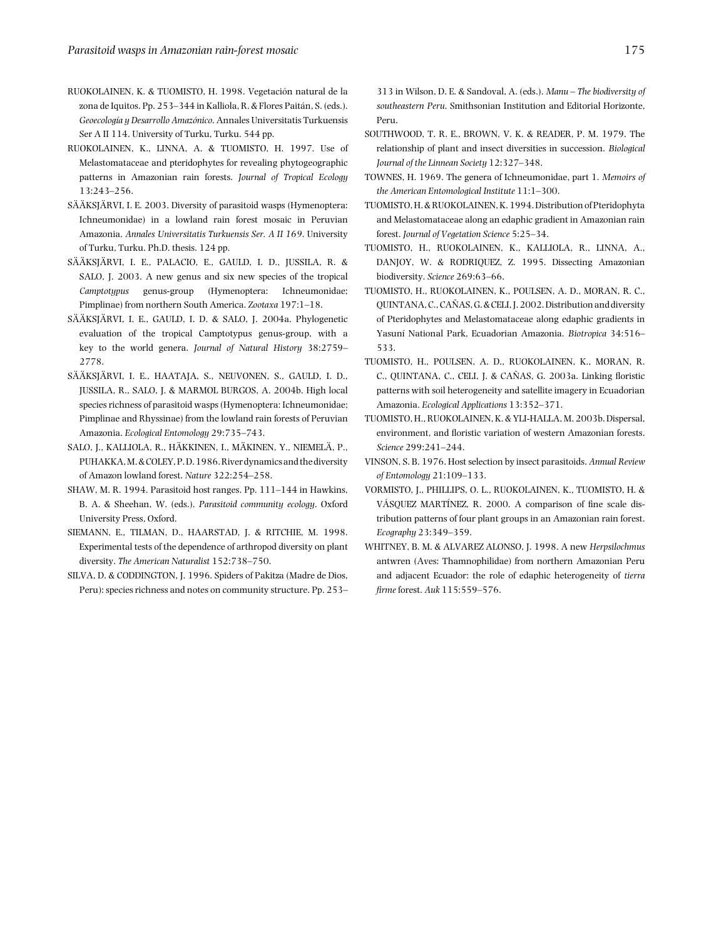- RUOKOLAINEN, K. & TUOMISTO, H. 1998. Vegetacion natural de la ´ zona de Iquitos. Pp. 253–344 in Kalliola, R. & Flores Paitan, S. (eds.). ´ *Geoecolog´ıa y Desarrollo Amazonico ´* . Annales Universitatis Turkuensis Ser A II 114. University of Turku, Turku. 544 pp.
- RUOKOLAINEN, K., LINNA, A. & TUOMISTO, H. 1997. Use of Melastomataceae and pteridophytes for revealing phytogeographic patterns in Amazonian rain forests. *Journal of Tropical Ecology* 13:243–256.
- SÄÄKSJÄRVI, I. E. 2003. Diversity of parasitoid wasps (Hymenoptera: Ichneumonidae) in a lowland rain forest mosaic in Peruvian Amazonia. *Annales Universitatis Turkuensis Ser. A II 169*. University of Turku, Turku. Ph.D. thesis. 124 pp.
- SÄÄKSJÄRVI, I. E., PALACIO, E., GAULD, I. D., JUSSILA, R. & SALO, J. 2003. A new genus and six new species of the tropical *Camptotypus* genus-group (Hymenoptera: Ichneumonidae; Pimplinae) from northern South America. *Zootaxa* 197:1–18.
- SÄÄKSJÄRVI, I. E., GAULD, I. D. & SALO, J. 2004a. Phylogenetic evaluation of the tropical Camptotypus genus-group, with a key to the world genera. *Journal of Natural History* 38:2759– 2778.
- SÄÄKSJÄRVI, I. E., HAATAJA, S., NEUVONEN, S., GAULD, I. D., JUSSILA, R., SALO, J. & MARMOL BURGOS, A. 2004b. High local species richness of parasitoid wasps (Hymenoptera: Ichneumonidae; Pimplinae and Rhyssinae) from the lowland rain forests of Peruvian Amazonia. *Ecological Entomology* 29:735–743.
- SALO, J., KALLIOLA, R., HÄKKINEN, I., MÄKINEN, Y., NIEMELÄ, P., PUHAKKA,M.&COLEY,P.D.1986.River dynamics and the diversity of Amazon lowland forest. *Nature* 322:254–258.
- SHAW, M. R. 1994. Parasitoid host ranges. Pp. 111–144 in Hawkins, B. A. & Sheehan, W. (eds.). *Parasitoid community ecology*. Oxford University Press, Oxford.
- SIEMANN, E., TILMAN, D., HAARSTAD, J. & RITCHIE, M. 1998. Experimental tests of the dependence of arthropod diversity on plant diversity. *The American Naturalist* 152:738–750.
- SILVA, D. & CODDINGTON, J. 1996. Spiders of Pakitza (Madre de Dios, Peru): species richness and notes on community structure. Pp. 253–

313 in Wilson, D. E. & Sandoval, A. (eds.). *Manu – The biodiversity of southeastern Peru*. Smithsonian Institution and Editorial Horizonte, Peru.

- SOUTHWOOD, T. R. E., BROWN, V. K. & READER, P. M. 1979. The relationship of plant and insect diversities in succession. *Biological Journal of the Linnean Society* 12:327–348.
- TOWNES, H. 1969. The genera of Ichneumonidae, part 1. *Memoirs of the American Entomological Institute* 11:1–300.
- TUOMISTO, H. & RUOKOLAINEN, K. 1994. Distribution of Pteridophyta and Melastomataceae along an edaphic gradient in Amazonian rain forest. *Journal of Vegetation Science* 5:25–34.
- TUOMISTO, H., RUOKOLAINEN, K., KALLIOLA, R., LINNA, A., DANJOY, W. & RODRIQUEZ, Z. 1995. Dissecting Amazonian biodiversity. *Science* 269:63–66.
- TUOMISTO, H., RUOKOLAINEN, K., POULSEN, A. D., MORAN, R. C., QUINTANA, C., CAÑAS, G. & CELI, J. 2002. Distribution and diversity of Pteridophytes and Melastomataceae along edaphic gradients in Yasuní National Park, Ecuadorian Amazonia. *Biotropica* 34:516– 533.
- TUOMISTO, H., POULSEN, A. D., RUOKOLAINEN, K., MORAN, R. C., QUINTANA, C., CELI, J. & CAÑAS, G. 2003a. Linking floristic patterns with soil heterogeneity and satellite imagery in Ecuadorian Amazonia. *Ecological Applications* 13:352–371.
- TUOMISTO, H., RUOKOLAINEN, K. & YLI-HALLA, M. 2003b. Dispersal, environment, and floristic variation of western Amazonian forests. *Science* 299:241–244.
- VINSON, S. B. 1976. Host selection by insect parasitoids. *Annual Review of Entomology* 21:109–133.
- VORMISTO, J., PHILLIPS, O. L., RUOKOLAINEN, K., TUOMISTO, H. & VÁSQUEZ MARTÍNEZ, R. 2000. A comparison of fine scale distribution patterns of four plant groups in an Amazonian rain forest. *Ecography* 23:349–359.
- WHITNEY, B. M. & ALVAREZ ALONSO, J. 1998. A new *Herpsilochmus* antwren (Aves: Thamnophilidae) from northern Amazonian Peru and adjacent Ecuador: the role of edaphic heterogeneity of *tierra firme* forest. *Auk* 115:559–576.